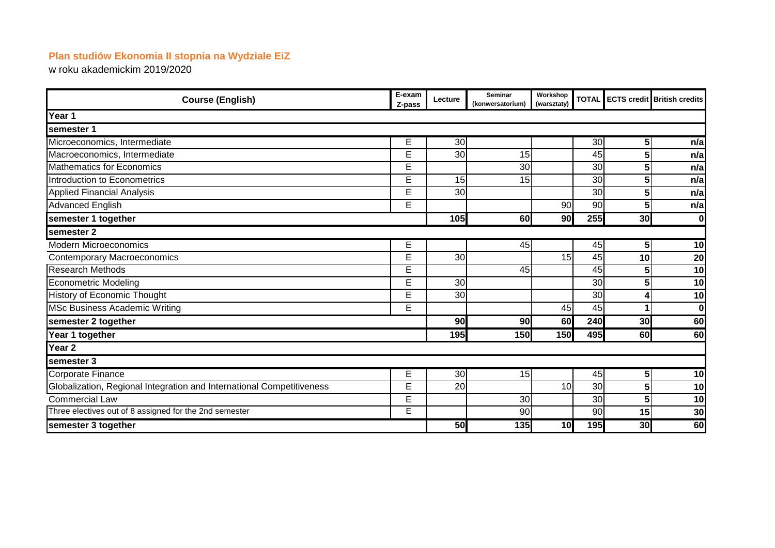## **Plan studiów Ekonomia II stopnia na Wydziale EiZ**

w roku akademickim 2019/2020

| <b>Course (English)</b>                                               | E-exam<br>Z-pass | Lecture         | Seminar<br>(konwersatorium) | Workshop<br>(warsztaty) |     |                 | <b>TOTAL ECTS credit British credits</b> |  |  |  |  |
|-----------------------------------------------------------------------|------------------|-----------------|-----------------------------|-------------------------|-----|-----------------|------------------------------------------|--|--|--|--|
| Year 1                                                                |                  |                 |                             |                         |     |                 |                                          |  |  |  |  |
| semester 1                                                            |                  |                 |                             |                         |     |                 |                                          |  |  |  |  |
| Microeconomics, Intermediate                                          | Е                | $\overline{30}$ |                             |                         | 30  | 5               | n/a                                      |  |  |  |  |
| Macroeconomics, Intermediate                                          | E                | 30              | 15                          |                         | 45  | 5               | n/a                                      |  |  |  |  |
| <b>Mathematics for Economics</b>                                      | E                |                 | 30                          |                         | 30  | 5 <sub>l</sub>  | n/a                                      |  |  |  |  |
| Introduction to Econometrics                                          | E                | 15              | 15                          |                         | 30  | 5 <sup>1</sup>  | n/a                                      |  |  |  |  |
| <b>Applied Financial Analysis</b>                                     | E                | 30              |                             |                         | 30  | 5 <sup>1</sup>  | n/a                                      |  |  |  |  |
| <b>Advanced English</b>                                               | E                |                 |                             | 90                      | 90  | 5 <sup>1</sup>  | n/a                                      |  |  |  |  |
| semester 1 together                                                   |                  | 105             | 60                          | 90                      | 255 | 30              | 0                                        |  |  |  |  |
| semester 2                                                            |                  |                 |                             |                         |     |                 |                                          |  |  |  |  |
| <b>Modern Microeconomics</b>                                          | Е                |                 | 45                          |                         | 45  | $5\overline{)}$ | 10                                       |  |  |  |  |
| <b>Contemporary Macroeconomics</b>                                    | E                | 30              |                             | 15                      | 45  | 10              | 20                                       |  |  |  |  |
| <b>Research Methods</b>                                               | E                |                 | 45                          |                         | 45  | 5               | 10                                       |  |  |  |  |
| <b>Econometric Modeling</b>                                           | E                | 30              |                             |                         | 30  | 5 <sup>1</sup>  | 10                                       |  |  |  |  |
| <b>History of Economic Thought</b>                                    | E                | 30              |                             |                         | 30  | 4               | 10                                       |  |  |  |  |
| <b>MSc Business Academic Writing</b>                                  | E                |                 |                             | 45                      | 45  |                 | $\bf{0}$                                 |  |  |  |  |
| semester 2 together                                                   |                  | 90              | 90                          | 60                      | 240 | 30              | 60                                       |  |  |  |  |
| Year 1 together                                                       |                  | 195             | 150                         | 150                     | 495 | 60              | 60                                       |  |  |  |  |
| Year <sub>2</sub>                                                     |                  |                 |                             |                         |     |                 |                                          |  |  |  |  |
| semester 3                                                            |                  |                 |                             |                         |     |                 |                                          |  |  |  |  |
| Corporate Finance                                                     | E                | 30              | 15                          |                         | 45  | 5 <sup>1</sup>  | $\overline{10}$                          |  |  |  |  |
| Globalization, Regional Integration and International Competitiveness | E                | 20              |                             | 10                      | 30  | 5 <sup>1</sup>  | 10                                       |  |  |  |  |
| <b>Commercial Law</b>                                                 | E                |                 | 30                          |                         | 30  | 5 <sup>1</sup>  | 10                                       |  |  |  |  |
| Three electives out of 8 assigned for the 2nd semester                | E                |                 | 90                          |                         | 90  | 15              | 30                                       |  |  |  |  |
| semester 3 together                                                   |                  | 50              | 135                         | 10                      | 195 | 30              | 60                                       |  |  |  |  |